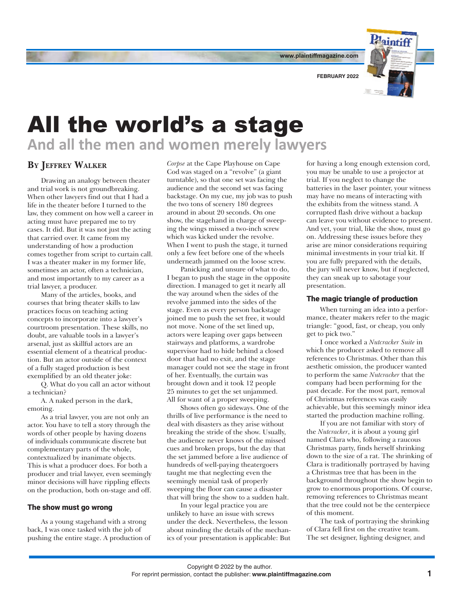

**FEBRUARY 2022**

# All the world's a stage **And all the men and women merely lawyers**

## **By Jeffrey Walker**

Drawing an analogy between theater and trial work is not groundbreaking. When other lawyers find out that I had a life in the theater before I turned to the law, they comment on how well a career in acting must have prepared me to try cases. It did. But it was not just the acting that carried over. It came from my understanding of how a production comes together from script to curtain call. I was a theater maker in my former life, sometimes an actor, often a technician, and most importantly to my career as a trial lawyer, a producer.

Many of the articles, books, and courses that bring theater skills to law practices focus on teaching acting concepts to incorporate into a lawyer's courtroom presentation. These skills, no doubt, are valuable tools in a lawyer's arsenal, just as skillful actors are an essential element of a theatrical production. But an actor outside of the context of a fully staged production is best exemplified by an old theater joke:

Q. What do you call an actor without a technician?

A. A naked person in the dark, emoting.

As a trial lawyer, you are not only an actor. You have to tell a story through the words of other people by having dozens of individuals communicate discrete but complementary parts of the whole, contextualized by inanimate objects. This is what a producer does. For both a producer and trial lawyer, even seemingly minor decisions will have rippling effects on the production, both on-stage and off.

### The show must go wrong

As a young stagehand with a strong back, I was once tasked with the job of pushing the entire stage. A production of

*Corpse* at the Cape Playhouse on Cape Cod was staged on a "revolve" (a giant turntable), so that one set was facing the audience and the second set was facing backstage. On my cue, my job was to push the two tons of scenery 180 degrees around in about 20 seconds. On one show, the stagehand in charge of sweeping the wings missed a two-inch screw which was kicked under the revolve. When I went to push the stage, it turned only a few feet before one of the wheels underneath jammed on the loose screw.

Panicking and unsure of what to do, I began to push the stage in the opposite direction. I managed to get it nearly all the way around when the sides of the revolve jammed into the sides of the stage. Even as every person backstage joined me to push the set free, it would not move. None of the set lined up, actors were leaping over gaps between stairways and platforms, a wardrobe supervisor had to hide behind a closed door that had no exit, and the stage manager could not see the stage in front of her. Eventually, the curtain was brought down and it took 12 people 25 minutes to get the set unjammed. All for want of a proper sweeping.

Shows often go sideways. One of the thrills of live performance is the need to deal with disasters as they arise without breaking the stride of the show. Usually, the audience never knows of the missed cues and broken props, but the day that the set jammed before a live audience of hundreds of well-paying theatergoers taught me that neglecting even the seemingly menial task of properly sweeping the floor can cause a disaster that will bring the show to a sudden halt.

In your legal practice you are unlikely to have an issue with screws under the deck. Nevertheless, the lesson about minding the details of the mechanics of your presentation is applicable: But

for having a long enough extension cord, you may be unable to use a projector at trial. If you neglect to change the batteries in the laser pointer, your witness may have no means of interacting with the exhibits from the witness stand. A corrupted flash drive without a backup can leave you without evidence to present. And yet, your trial, like the show, must go on. Addressing these issues before they arise are minor considerations requiring minimal investments in your trial kit. If you are fully prepared with the details, the jury will never know, but if neglected, they can sneak up to sabotage your presentation.

#### The magic triangle of production

When turning an idea into a performance, theater makers refer to the magic triangle: "good, fast, or cheap, you only get to pick two."

I once worked a *Nutcracker Suite* in which the producer asked to remove all references to Christmas. Other than this aesthetic omission, the producer wanted to perform the same *Nutcracker* that the company had been performing for the past decade. For the most part, removal of Christmas references was easily achievable, but this seemingly minor idea started the production machine rolling.

If you are not familiar with story of the *Nutcracker*, it is about a young girl named Clara who, following a raucous Christmas party, finds herself shrinking down to the size of a rat. The shrinking of Clara is traditionally portrayed by having a Christmas tree that has been in the background throughout the show begin to grow to enormous proportions. Of course, removing references to Christmas meant that the tree could not be the centerpiece of this moment.

The task of portraying the shrinking of Clara fell first on the creative team. The set designer, lighting designer, and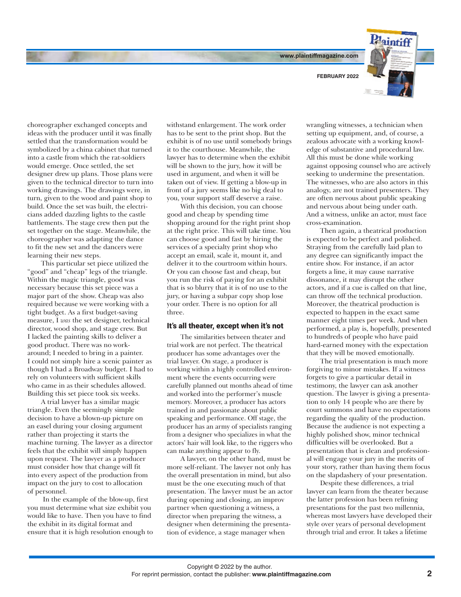**www.plaintiffmagazine.com**

**FEBRUARY 2022**



choreographer exchanged concepts and ideas with the producer until it was finally settled that the transformation would be symbolized by a china cabinet that turned into a castle from which the rat-soldiers would emerge. Once settled, the set designer drew up plans. Those plans were given to the technical director to turn into working drawings. The drawings were, in turn, given to the wood and paint shop to build. Once the set was built, the electricians added dazzling lights to the castle battlements. The stage crew then put the set together on the stage. Meanwhile, the choreographer was adapting the dance to fit the new set and the dancers were learning their new steps.

This particular set piece utilized the "good" and "cheap" legs of the triangle. Within the magic triangle, good was necessary because this set piece was a major part of the show. Cheap was also required because we were working with a tight budget. As a first budget-saving measure, I *was* the set designer, technical director, wood shop, and stage crew. But I lacked the painting skills to deliver a good product. There was no workaround; I needed to bring in a painter. I could not simply hire a scenic painter as though I had a Broadway budget. I had to rely on volunteers with sufficient skills who came in as their schedules allowed. Building this set piece took six weeks.

A trial lawyer has a similar magic triangle. Even the seemingly simple decision to have a blown-up picture on an easel during your closing argument rather than projecting it starts the machine turning. The lawyer as a director feels that the exhibit will simply happen upon request. The lawyer as a producer must consider how that change will fit into every aspect of the production from impact on the jury to cost to allocation of personnel.

 In the example of the blow-up, first you must determine what size exhibit you would like to have. Then you have to find the exhibit in its digital format and ensure that it is high resolution enough to

withstand enlargement. The work order has to be sent to the print shop. But the exhibit is of no use until somebody brings it to the courthouse. Meanwhile, the lawyer has to determine when the exhibit will be shown to the jury, how it will be used in argument, and when it will be taken out of view. If getting a blow-up in front of a jury seems like no big deal to you, your support staff deserve a raise.

With this decision, you can choose good and cheap by spending time shopping around for the right print shop at the right price. This will take time. You can choose good and fast by hiring the services of a specialty print shop who accept an email, scale it, mount it, and deliver it to the courtroom within hours. Or you can choose fast and cheap, but you run the risk of paying for an exhibit that is so blurry that it is of no use to the jury, or having a subpar copy shop lose your order. There is no option for all three.

#### It's all theater, except when it's not

The similarities between theater and trial work are not perfect. The theatrical producer has some advantages over the trial lawyer. On stage, a producer is working within a highly controlled environment where the events occurring were carefully planned out months ahead of time and worked into the performer's muscle memory. Moreover, a producer has actors trained in and passionate about public speaking and performance. Off stage, the producer has an army of specialists ranging from a designer who specializes in what the actors' hair will look like, to the riggers who can make anything appear to fly.

A lawyer, on the other hand, must be more self-reliant. The lawyer not only has the overall presentation in mind, but also must be the one executing much of that presentation. The lawyer must be an actor during opening and closing, an improv partner when questioning a witness, a director when preparing the witness, a designer when determining the presentation of evidence, a stage manager when

wrangling witnesses, a technician when setting up equipment, and, of course, a zealous advocate with a working knowledge of substantive and procedural law. All this must be done while working against opposing counsel who are actively seeking to undermine the presentation. The witnesses, who are also actors in this analogy, are not trained presenters. They are often nervous about public speaking and nervous about being under oath. And a witness, unlike an actor, must face cross-examination.

Then again, a theatrical production is expected to be perfect and polished. Straying from the carefully laid plan to any degree can significantly impact the entire show. For instance, if an actor forgets a line, it may cause narrative dissonance, it may disrupt the other actors, and if a cue is called on that line, can throw off the technical production. Moreover, the theatrical production is expected to happen in the exact same manner eight times per week. And when performed, a play is, hopefully, presented to hundreds of people who have paid hard-earned money with the expectation that they will be moved emotionally.

The trial presentation is much more forgiving to minor mistakes. If a witness forgets to give a particular detail in testimony, the lawyer can ask another question. The lawyer is giving a presentation to only 14 people who are there by court summons and have no expectations regarding the quality of the production. Because the audience is not expecting a highly polished show, minor technical difficulties will be overlooked. But a presentation that is clean and professional will engage your jury in the merits of your story, rather than having them focus on the slapdashery of your presentation.

Despite these differences, a trial lawyer can learn from the theater because the latter profession has been refining presentations for the past two millennia, whereas most lawyers have developed their style over years of personal development through trial and error. It takes a lifetime